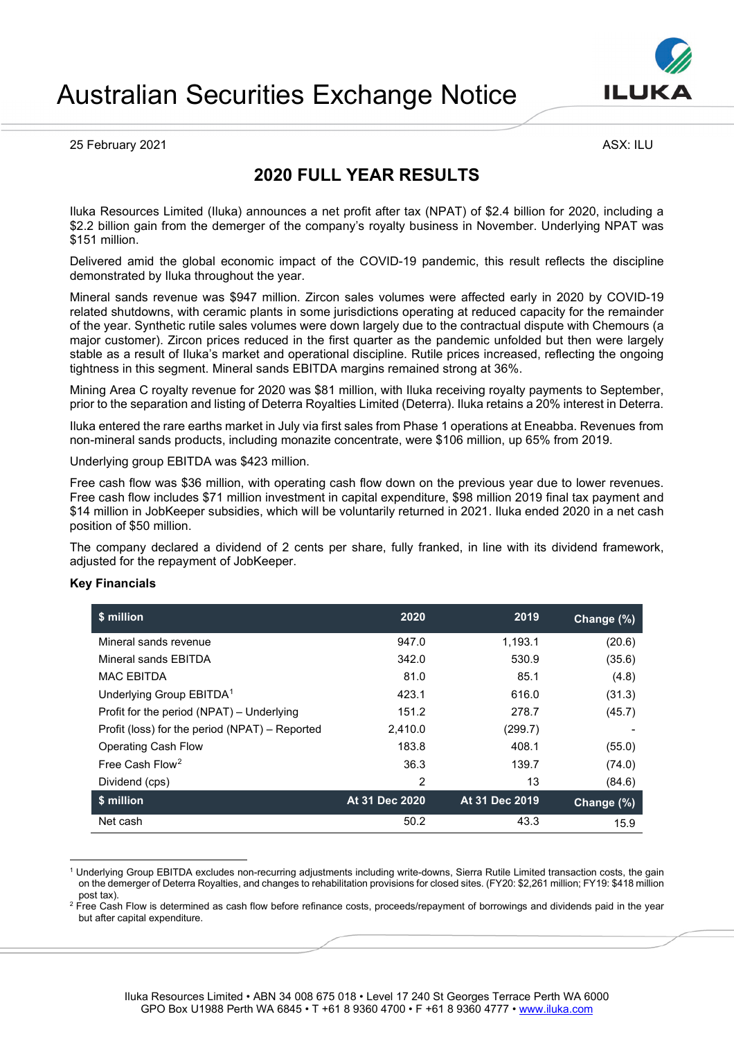

# Australian Securities Exchange Notice

25 February 2021 **ASX: ILU** 

# **2020 FULL YEAR RESULTS**

Iluka Resources Limited (Iluka) announces a net profit after tax (NPAT) of \$2.4 billion for 2020, including a \$2.2 billion gain from the demerger of the company's royalty business in November. Underlying NPAT was \$151 million.

Delivered amid the global economic impact of the COVID-19 pandemic, this result reflects the discipline demonstrated by Iluka throughout the year.

Mineral sands revenue was \$947 million. Zircon sales volumes were affected early in 2020 by COVID-19 related shutdowns, with ceramic plants in some jurisdictions operating at reduced capacity for the remainder of the year. Synthetic rutile sales volumes were down largely due to the contractual dispute with Chemours (a major customer). Zircon prices reduced in the first quarter as the pandemic unfolded but then were largely stable as a result of Iluka's market and operational discipline. Rutile prices increased, reflecting the ongoing tightness in this segment. Mineral sands EBITDA margins remained strong at 36%.

Mining Area C royalty revenue for 2020 was \$81 million, with Iluka receiving royalty payments to September, prior to the separation and listing of Deterra Royalties Limited (Deterra). Iluka retains a 20% interest in Deterra.

Iluka entered the rare earths market in July via first sales from Phase 1 operations at Eneabba. Revenues from non-mineral sands products, including monazite concentrate, were \$106 million, up 65% from 2019.

Underlying group EBITDA was \$423 million.

Free cash flow was \$36 million, with operating cash flow down on the previous year due to lower revenues. Free cash flow includes \$71 million investment in capital expenditure, \$98 million 2019 final tax payment and \$14 million in JobKeeper subsidies, which will be voluntarily returned in 2021. Iluka ended 2020 in a net cash position of \$50 million.

The company declared a dividend of 2 cents per share, fully franked, in line with its dividend framework, adjusted for the repayment of JobKeeper.

# **Key Financials**

| \$ million                                     | 2020           | 2019           | Change $(\%)$ |
|------------------------------------------------|----------------|----------------|---------------|
| Mineral sands revenue                          | 947.0          | 1,193.1        | (20.6)        |
| Mineral sands FBITDA                           | 342.0          | 530.9          | (35.6)        |
| <b>MAC EBITDA</b>                              | 81.0           | 85.1           | (4.8)         |
| Underlying Group EBITDA <sup>1</sup>           | 423.1          | 616.0          | (31.3)        |
| Profit for the period (NPAT) – Underlying      | 151.2          | 278.7          | (45.7)        |
| Profit (loss) for the period (NPAT) – Reported | 2,410.0        | (299.7)        |               |
| <b>Operating Cash Flow</b>                     | 183.8          | 408.1          | (55.0)        |
| Free Cash Flow <sup>2</sup>                    | 36.3           | 139.7          | (74.0)        |
| Dividend (cps)                                 | 2              | 13             | (84.6)        |
| \$ million                                     | At 31 Dec 2020 | At 31 Dec 2019 | Change (%)    |
| Net cash                                       | 50.2           | 43.3           | 15.9          |

<span id="page-0-0"></span><sup>1</sup> Underlying Group EBITDA excludes non-recurring adjustments including write-downs, Sierra Rutile Limited transaction costs, the gain on the demerger of Deterra Royalties, and changes to rehabilitation provisions for closed sites. (FY20: \$2,261 million; FY19: \$418 million

<span id="page-0-1"></span>post tax).<br><sup>2</sup> Free Cash Flow is determined as cash flow before refinance costs, proceeds/repayment of borrowings and dividends paid in the year but after capital expenditure.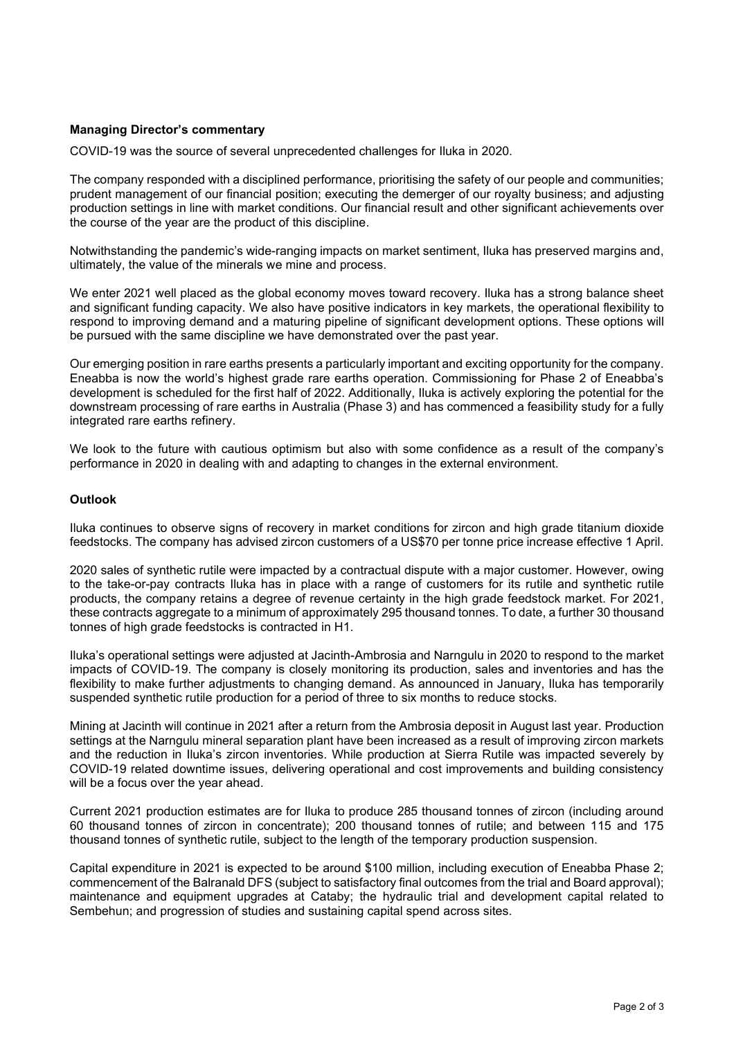# **Managing Director's commentary**

COVID-19 was the source of several unprecedented challenges for Iluka in 2020.

The company responded with a disciplined performance, prioritising the safety of our people and communities; prudent management of our financial position; executing the demerger of our royalty business; and adjusting production settings in line with market conditions. Our financial result and other significant achievements over the course of the year are the product of this discipline.

Notwithstanding the pandemic's wide-ranging impacts on market sentiment, Iluka has preserved margins and, ultimately, the value of the minerals we mine and process.

We enter 2021 well placed as the global economy moves toward recovery. Iluka has a strong balance sheet and significant funding capacity. We also have positive indicators in key markets, the operational flexibility to respond to improving demand and a maturing pipeline of significant development options. These options will be pursued with the same discipline we have demonstrated over the past year.

Our emerging position in rare earths presents a particularly important and exciting opportunity for the company. Eneabba is now the world's highest grade rare earths operation. Commissioning for Phase 2 of Eneabba's development is scheduled for the first half of 2022. Additionally, Iluka is actively exploring the potential for the downstream processing of rare earths in Australia (Phase 3) and has commenced a feasibility study for a fully integrated rare earths refinery.

We look to the future with cautious optimism but also with some confidence as a result of the company's performance in 2020 in dealing with and adapting to changes in the external environment.

#### **Outlook**

Iluka continues to observe signs of recovery in market conditions for zircon and high grade titanium dioxide feedstocks. The company has advised zircon customers of a US\$70 per tonne price increase effective 1 April.

2020 sales of synthetic rutile were impacted by a contractual dispute with a major customer. However, owing to the take-or-pay contracts Iluka has in place with a range of customers for its rutile and synthetic rutile products, the company retains a degree of revenue certainty in the high grade feedstock market. For 2021, these contracts aggregate to a minimum of approximately 295 thousand tonnes. To date, a further 30 thousand tonnes of high grade feedstocks is contracted in H1.

Iluka's operational settings were adjusted at Jacinth-Ambrosia and Narngulu in 2020 to respond to the market impacts of COVID-19. The company is closely monitoring its production, sales and inventories and has the flexibility to make further adjustments to changing demand. As announced in January, Iluka has temporarily suspended synthetic rutile production for a period of three to six months to reduce stocks.

Mining at Jacinth will continue in 2021 after a return from the Ambrosia deposit in August last year. Production settings at the Narngulu mineral separation plant have been increased as a result of improving zircon markets and the reduction in Iluka's zircon inventories. While production at Sierra Rutile was impacted severely by COVID-19 related downtime issues, delivering operational and cost improvements and building consistency will be a focus over the year ahead.

Current 2021 production estimates are for Iluka to produce 285 thousand tonnes of zircon (including around 60 thousand tonnes of zircon in concentrate); 200 thousand tonnes of rutile; and between 115 and 175 thousand tonnes of synthetic rutile, subject to the length of the temporary production suspension.

Capital expenditure in 2021 is expected to be around \$100 million, including execution of Eneabba Phase 2; commencement of the Balranald DFS (subject to satisfactory final outcomes from the trial and Board approval); maintenance and equipment upgrades at Cataby; the hydraulic trial and development capital related to Sembehun; and progression of studies and sustaining capital spend across sites.